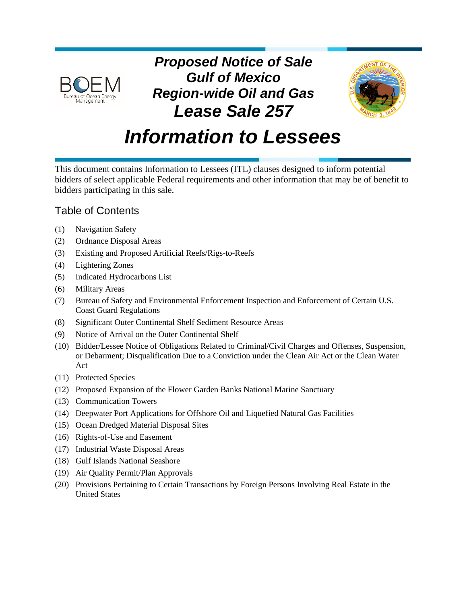

*Proposed Notice of Sale Gulf of Mexico Region-wide Oil and Gas Lease Sale 257*



# *Information to Lessees*

This document contains Information to Lessees (ITL) clauses designed to inform potential bidders of select applicable Federal requirements and other information that may be of benefit to bidders participating in this sale.

# Table of Contents

- (1) [Navigation Safety](#page-1-0)
- (2) [Ordnance Disposal Areas](#page-1-1)
- (3) [Existing and Proposed Artificial Reefs/Rigs-to-Reefs](#page-2-0)
- (4) [Lightering Zones](#page-2-1)
- (5) [Indicated Hydrocarbons List](#page-3-0)
- (6) [Military Areas](#page-3-1)
- (7) [Bureau of Safety and Environmental Enforcement Inspection and Enforcement of Certain U.S.](#page-4-0)  [Coast Guard Regulations](#page-4-0)
- (8) [Significant Outer Continental Shelf Sediment Resource Areas](#page-4-1)
- (9) [Notice of Arrival on the Outer Continental Shelf](#page-7-0)
- (10) [Bidder/Lessee Notice of Obligations Related to Criminal/Civil Charges and Offenses, Suspension,](#page-7-1)  [or Debarment; Disqualification Due to a Conviction under the Clean Air Act or the Clean Water](#page-7-1)  [Act](#page-7-1)
- (11) [Protected Species](#page-8-0)
- (12) [Proposed Expansion of the Flower Garden Banks National Marine Sanctuary](#page-9-0)
- (13) [Communication Towers](#page-10-0)
- (14) [Deepwater Port Applications for Offshore Oil and Liquefied Natural Gas Facilities](#page-10-1)
- (15) [Ocean Dredged Material Disposal Sites](#page-12-0)
- (16) [Rights-of-Use and Easement](#page-12-1)
- (17) [Industrial Waste Disposal Areas](#page-13-0)
- (18) [Gulf Islands National Seashore](#page-13-1)
- (19) [Air Quality Permit/Plan Approvals](#page-16-0)
- (20) [Provisions Pertaining to Certain Transactions by Foreign Persons Involving](#page-16-1) Real Estate in the [United States](#page-16-1)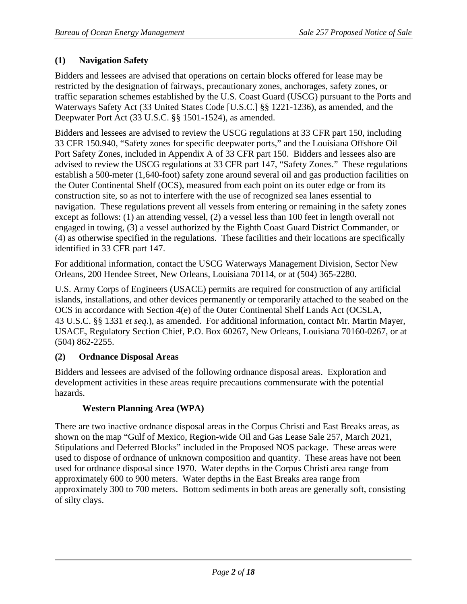# <span id="page-1-0"></span>**(1) Navigation Safety**

Bidders and lessees are advised that operations on certain blocks offered for lease may be restricted by the designation of fairways, precautionary zones, anchorages, safety zones, or traffic separation schemes established by the U.S. Coast Guard (USCG) pursuant to the Ports and Waterways Safety Act (33 United States Code [U.S.C.] §§ 1221-1236), as amended, and the Deepwater Port Act (33 U.S.C. §§ 1501-1524), as amended.

Bidders and lessees are advised to review the USCG regulations at 33 CFR part 150, including 33 CFR 150.940, "Safety zones for specific deepwater ports," and the Louisiana Offshore Oil Port Safety Zones, included in Appendix A of 33 CFR part 150. Bidders and lessees also are advised to review the USCG regulations at 33 CFR part 147, "Safety Zones." These regulations establish a 500-meter (1,640-foot) safety zone around several oil and gas production facilities on the Outer Continental Shelf (OCS), measured from each point on its outer edge or from its construction site, so as not to interfere with the use of recognized sea lanes essential to navigation. These regulations prevent all vessels from entering or remaining in the safety zones except as follows: (1) an attending vessel, (2) a vessel less than 100 feet in length overall not engaged in towing, (3) a vessel authorized by the Eighth Coast Guard District Commander, or (4) as otherwise specified in the regulations. These facilities and their locations are specifically identified in 33 CFR part 147.

For additional information, contact the USCG Waterways Management Division, Sector New Orleans, 200 Hendee Street, New Orleans, Louisiana 70114, or at (504) 365-2280.

U.S. Army Corps of Engineers (USACE) permits are required for construction of any artificial islands, installations, and other devices permanently or temporarily attached to the seabed on the OCS in accordance with Section 4(e) of the Outer Continental Shelf Lands Act (OCSLA, 43 U.S.C. §§ 1331 *et seq*.), as amended. For additional information, contact Mr. Martin Mayer, USACE, Regulatory Section Chief, P.O. Box 60267, New Orleans, Louisiana 70160-0267, or at (504) 862-2255.

#### <span id="page-1-1"></span>**(2) Ordnance Disposal Areas**

Bidders and lessees are advised of the following ordnance disposal areas. Exploration and development activities in these areas require precautions commensurate with the potential hazards.

#### **Western Planning Area (WPA)**

There are two inactive ordnance disposal areas in the Corpus Christi and East Breaks areas, as shown on the map "Gulf of Mexico, Region-wide Oil and Gas Lease Sale 257, March 2021, Stipulations and Deferred Blocks" included in the Proposed NOS package. These areas were used to dispose of ordnance of unknown composition and quantity. These areas have not been used for ordnance disposal since 1970. Water depths in the Corpus Christi area range from approximately 600 to 900 meters. Water depths in the East Breaks area range from approximately 300 to 700 meters. Bottom sediments in both areas are generally soft, consisting of silty clays.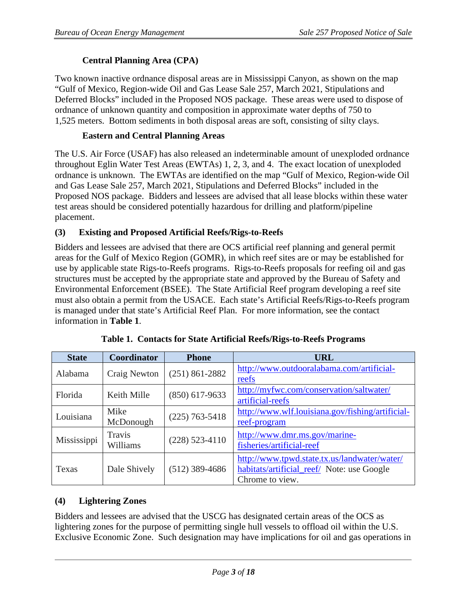# **Central Planning Area (CPA)**

Two known inactive ordnance disposal areas are in Mississippi Canyon, as shown on the map "Gulf of Mexico, Region-wide Oil and Gas Lease Sale 257, March 2021, Stipulations and Deferred Blocks" included in the Proposed NOS package. These areas were used to dispose of ordnance of unknown quantity and composition in approximate water depths of 750 to 1,525 meters. Bottom sediments in both disposal areas are soft, consisting of silty clays.

#### **Eastern and Central Planning Areas**

The U.S. Air Force (USAF) has also released an indeterminable amount of unexploded ordnance throughout Eglin Water Test Areas (EWTAs) 1, 2, 3, and 4. The exact location of unexploded ordnance is unknown. The EWTAs are identified on the map "Gulf of Mexico, Region-wide Oil and Gas Lease Sale 257, March 2021, Stipulations and Deferred Blocks" included in the Proposed NOS package. Bidders and lessees are advised that all lease blocks within these water test areas should be considered potentially hazardous for drilling and platform/pipeline placement.

#### <span id="page-2-0"></span>**(3) Existing and Proposed Artificial Reefs/Rigs-to-Reefs**

Bidders and lessees are advised that there are OCS artificial reef planning and general permit areas for the Gulf of Mexico Region (GOMR), in which reef sites are or may be established for use by applicable state Rigs-to-Reefs programs. Rigs-to-Reefs proposals for reefing oil and gas structures must be accepted by the appropriate state and approved by the Bureau of Safety and Environmental Enforcement (BSEE). The State Artificial Reef program developing a reef site must also obtain a permit from the USACE. Each state's Artificial Reefs/Rigs-to-Reefs program is managed under that state's Artificial Reef Plan. For more information, see the contact information in **Table 1**.

| <b>State</b> | Coordinator        | <b>Phone</b>       | <b>URL</b>                                                                                                    |
|--------------|--------------------|--------------------|---------------------------------------------------------------------------------------------------------------|
| Alabama      | Craig Newton       | $(251) 861 - 2882$ | http://www.outdooralabama.com/artificial-<br>reefs                                                            |
| Florida      | Keith Mille        | $(850)$ 617-9633   | http://myfwc.com/conservation/saltwater/<br>artificial-reefs                                                  |
| Louisiana    | Mike<br>McDonough  | $(225)$ 763-5418   | http://www.wlf.louisiana.gov/fishing/artificial-<br>reef-program                                              |
| Mississippi  | Travis<br>Williams | $(228)$ 523-4110   | http://www.dmr.ms.gov/marine-<br>fisheries/artificial-reef                                                    |
| Texas        | Dale Shively       | $(512)$ 389-4686   | http://www.tpwd.state.tx.us/landwater/water/<br>habitats/artificial_reef/ Note: use Google<br>Chrome to view. |

| Table 1. Contacts for State Artificial Reefs/Rigs-to-Reefs Programs |
|---------------------------------------------------------------------|
|---------------------------------------------------------------------|

#### <span id="page-2-1"></span>**(4) Lightering Zones**

Bidders and lessees are advised that the USCG has designated certain areas of the OCS as lightering zones for the purpose of permitting single hull vessels to offload oil within the U.S. Exclusive Economic Zone. Such designation may have implications for oil and gas operations in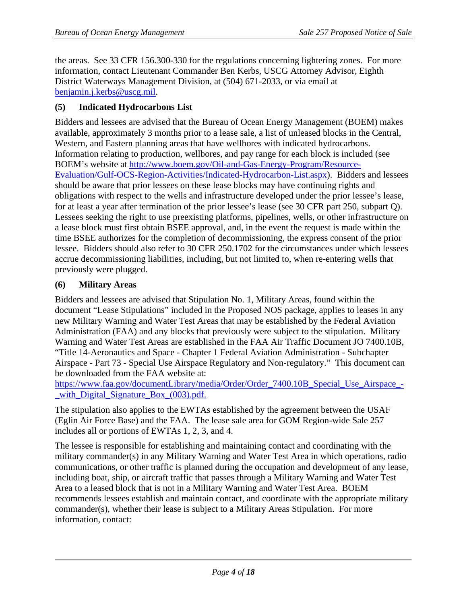the areas. See 33 CFR 156.300-330 for the regulations concerning lightering zones. For more information, contact Lieutenant Commander Ben Kerbs, USCG Attorney Advisor, Eighth District Waterways Management Division, at (504) 671-2033, or via email at [benjamin.j.kerbs@uscg.mil.](mailto:benjamin.j.kerbs@uscg.mil)

#### <span id="page-3-0"></span>**(5) Indicated Hydrocarbons List**

Bidders and lessees are advised that the Bureau of Ocean Energy Management (BOEM) makes available, approximately 3 months prior to a lease sale, a list of unleased blocks in the Central, Western, and Eastern planning areas that have wellbores with indicated hydrocarbons. Information relating to production, wellbores, and pay range for each block is included (see BOEM's website at [http://www.boem.gov/Oil-and-Gas-Energy-Program/Resource-](http://www.boem.gov/Oil-and-Gas-Energy-Program/Resource-Evaluation/Gulf-OCS-Region-Activities/Indicated-Hydrocarbon-List.aspx)[Evaluation/Gulf-OCS-Region-Activities/Indicated-Hydrocarbon-List.aspx\)](http://www.boem.gov/Oil-and-Gas-Energy-Program/Resource-Evaluation/Gulf-OCS-Region-Activities/Indicated-Hydrocarbon-List.aspx). Bidders and lessees should be aware that prior lessees on these lease blocks may have continuing rights and obligations with respect to the wells and infrastructure developed under the prior lessee's lease, for at least a year after termination of the prior lessee's lease (see 30 CFR part 250, subpart Q). Lessees seeking the right to use preexisting platforms, pipelines, wells, or other infrastructure on a lease block must first obtain BSEE approval, and, in the event the request is made within the time BSEE authorizes for the completion of decommissioning, the express consent of the prior lessee. Bidders should also refer to 30 CFR 250.1702 for the circumstances under which lessees accrue decommissioning liabilities, including, but not limited to, when re-entering wells that previously were plugged.

#### <span id="page-3-1"></span>**(6) Military Areas**

Bidders and lessees are advised that Stipulation No. 1, Military Areas, found within the document "Lease Stipulations" included in the Proposed NOS package, applies to leases in any new Military Warning and Water Test Areas that may be established by the Federal Aviation Administration (FAA) and any blocks that previously were subject to the stipulation. Military Warning and Water Test Areas are established in the FAA Air Traffic Document JO 7400.10B, "Title 14-Aeronautics and Space - Chapter 1 Federal Aviation Administration - Subchapter Airspace - Part 73 - Special Use Airspace Regulatory and Non-regulatory." This document can be downloaded from the FAA website at:

https://www.faa.gov/documentLibrary/media/Order/Order 7400.10B Special Use Airspace with Digital Signature Box (003).pdf.

The stipulation also applies to the EWTAs established by the agreement between the USAF (Eglin Air Force Base) and the FAA. The lease sale area for GOM Region-wide Sale 257 includes all or portions of EWTAs 1, 2, 3, and 4.

The lessee is responsible for establishing and maintaining contact and coordinating with the military commander(s) in any Military Warning and Water Test Area in which operations, radio communications, or other traffic is planned during the occupation and development of any lease, including boat, ship, or aircraft traffic that passes through a Military Warning and Water Test Area to a leased block that is not in a Military Warning and Water Test Area. BOEM recommends lessees establish and maintain contact, and coordinate with the appropriate military commander(s), whether their lease is subject to a Military Areas Stipulation. For more information, contact: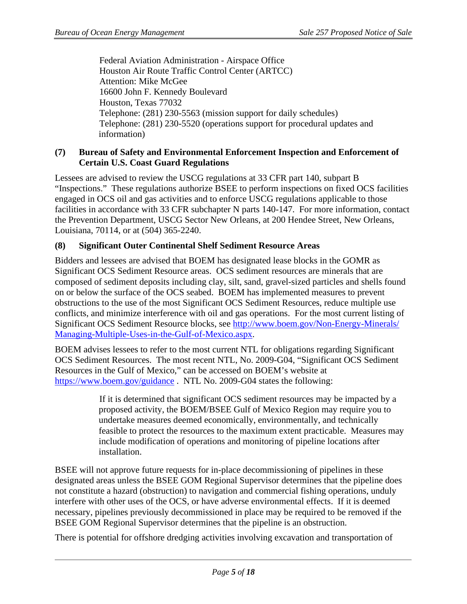Federal Aviation Administration - Airspace Office Houston Air Route Traffic Control Center (ARTCC) Attention: Mike McGee 16600 John F. Kennedy Boulevard Houston, Texas 77032 Telephone: (281) 230-5563 (mission support for daily schedules) Telephone: (281) 230-5520 (operations support for procedural updates and information)

#### <span id="page-4-0"></span>**(7) Bureau of Safety and Environmental Enforcement Inspection and Enforcement of Certain U.S. Coast Guard Regulations**

Lessees are advised to review the USCG regulations at 33 CFR part 140, subpart B "Inspections." These regulations authorize BSEE to perform inspections on fixed OCS facilities engaged in OCS oil and gas activities and to enforce USCG regulations applicable to those facilities in accordance with 33 CFR subchapter N parts 140-147. For more information, contact the Prevention Department, USCG Sector New Orleans, at 200 Hendee Street, New Orleans, Louisiana, 70114, or at (504) 365-2240.

# <span id="page-4-1"></span>**(8) Significant Outer Continental Shelf Sediment Resource Areas**

Bidders and lessees are advised that BOEM has designated lease blocks in the GOMR as Significant OCS Sediment Resource areas. OCS sediment resources are minerals that are composed of sediment deposits including clay, silt, sand, gravel-sized particles and shells found on or below the surface of the OCS seabed. BOEM has implemented measures to prevent obstructions to the use of the most Significant OCS Sediment Resources, reduce multiple use conflicts, and minimize interference with oil and gas operations. For the most current listing of Significant OCS Sediment Resource blocks, see [http://www.boem.gov/Non-Energy-Minerals/](http://www.boem.gov/Non-Energy-Minerals/Managing-Multiple-Uses-in-the-Gulf-of-Mexico.aspx) [Managing-Multiple-Uses-in-the-Gulf-of-Mexico.aspx.](http://www.boem.gov/Non-Energy-Minerals/Managing-Multiple-Uses-in-the-Gulf-of-Mexico.aspx)

BOEM advises lessees to refer to the most current NTL for obligations regarding Significant OCS Sediment Resources. The most recent NTL, No. 2009-G04, "Significant OCS Sediment Resources in the Gulf of Mexico," can be accessed on BOEM's website at <https://www.boem.gov/guidance> . NTL No. 2009-G04 states the following:

> If it is determined that significant OCS sediment resources may be impacted by a proposed activity, the BOEM/BSEE Gulf of Mexico Region may require you to undertake measures deemed economically, environmentally, and technically feasible to protect the resources to the maximum extent practicable. Measures may include modification of operations and monitoring of pipeline locations after installation.

BSEE will not approve future requests for in-place decommissioning of pipelines in these designated areas unless the BSEE GOM Regional Supervisor determines that the pipeline does not constitute a hazard (obstruction) to navigation and commercial fishing operations, unduly interfere with other uses of the OCS, or have adverse environmental effects. If it is deemed necessary, pipelines previously decommissioned in place may be required to be removed if the BSEE GOM Regional Supervisor determines that the pipeline is an obstruction.

There is potential for offshore dredging activities involving excavation and transportation of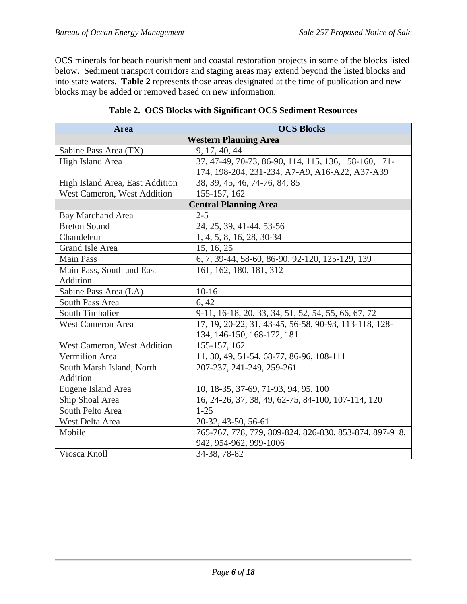OCS minerals for beach nourishment and coastal restoration projects in some of the blocks listed below. Sediment transport corridors and staging areas may extend beyond the listed blocks and into state waters. **Table 2** represents those areas designated at the time of publication and new blocks may be added or removed based on new information.

| Area                            | <b>OCS Blocks</b>                                      |  |
|---------------------------------|--------------------------------------------------------|--|
| <b>Western Planning Area</b>    |                                                        |  |
| Sabine Pass Area (TX)           | 9, 17, 40, 44                                          |  |
| <b>High Island Area</b>         | 37, 47-49, 70-73, 86-90, 114, 115, 136, 158-160, 171-  |  |
|                                 | 174, 198-204, 231-234, A7-A9, A16-A22, A37-A39         |  |
| High Island Area, East Addition | 38, 39, 45, 46, 74-76, 84, 85                          |  |
| West Cameron, West Addition     | 155-157, 162                                           |  |
|                                 | <b>Central Planning Area</b>                           |  |
| <b>Bay Marchand Area</b>        | $2 - 5$                                                |  |
| <b>Breton Sound</b>             | 24, 25, 39, 41-44, 53-56                               |  |
| Chandeleur                      | 1, 4, 5, 8, 16, 28, 30-34                              |  |
| Grand Isle Area                 | 15, 16, 25                                             |  |
| <b>Main Pass</b>                | 6, 7, 39-44, 58-60, 86-90, 92-120, 125-129, 139        |  |
| Main Pass, South and East       | 161, 162, 180, 181, 312                                |  |
| Addition                        |                                                        |  |
| Sabine Pass Area (LA)           | $10-16$                                                |  |
| South Pass Area                 | 6, 42                                                  |  |
| South Timbalier                 | 9-11, 16-18, 20, 33, 34, 51, 52, 54, 55, 66, 67, 72    |  |
| <b>West Cameron Area</b>        | 17, 19, 20-22, 31, 43-45, 56-58, 90-93, 113-118, 128-  |  |
|                                 | 134, 146-150, 168-172, 181                             |  |
| West Cameron, West Addition     | 155-157, 162                                           |  |
| <b>Vermilion</b> Area           | 11, 30, 49, 51-54, 68-77, 86-96, 108-111               |  |
| South Marsh Island, North       | 207-237, 241-249, 259-261                              |  |
| Addition                        |                                                        |  |
| Eugene Island Area              | 10, 18-35, 37-69, 71-93, 94, 95, 100                   |  |
| Ship Shoal Area                 | 16, 24-26, 37, 38, 49, 62-75, 84-100, 107-114, 120     |  |
| South Pelto Area                | $1 - 25$                                               |  |
| West Delta Area                 | 20-32, 43-50, 56-61                                    |  |
| Mobile                          | 765-767, 778, 779, 809-824, 826-830, 853-874, 897-918, |  |
|                                 | 942, 954-962, 999-1006                                 |  |
| Viosca Knoll                    | 34-38, 78-82                                           |  |

|  |  |  | Table 2. OCS Blocks with Significant OCS Sediment Resources |
|--|--|--|-------------------------------------------------------------|
|--|--|--|-------------------------------------------------------------|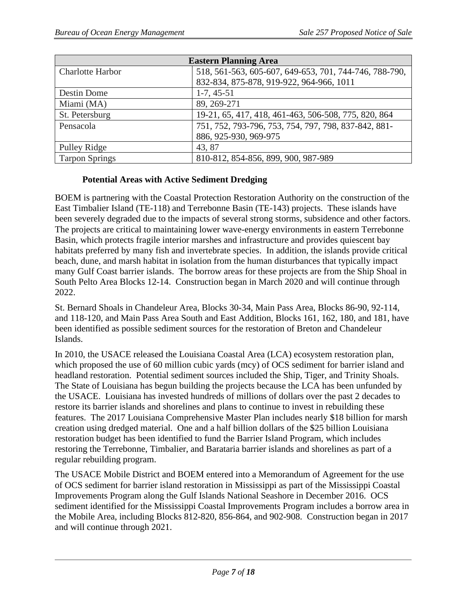| <b>Eastern Planning Area</b> |                                                        |  |
|------------------------------|--------------------------------------------------------|--|
| <b>Charlotte Harbor</b>      | 518, 561-563, 605-607, 649-653, 701, 744-746, 788-790, |  |
|                              | 832-834, 875-878, 919-922, 964-966, 1011               |  |
| Destin Dome                  | $1-7, 45-51$                                           |  |
| Miami (MA)                   | 89, 269-271                                            |  |
| St. Petersburg               | 19-21, 65, 417, 418, 461-463, 506-508, 775, 820, 864   |  |
| Pensacola                    | 751, 752, 793-796, 753, 754, 797, 798, 837-842, 881-   |  |
|                              | 886, 925-930, 969-975                                  |  |
| Pulley Ridge                 | 43, 87                                                 |  |
| <b>Tarpon Springs</b>        | 810-812, 854-856, 899, 900, 987-989                    |  |

#### **Potential Areas with Active Sediment Dredging**

BOEM is partnering with the Coastal Protection Restoration Authority on the construction of the East Timbalier Island (TE-118) and Terrebonne Basin (TE-143) projects. These islands have been severely degraded due to the impacts of several strong storms, subsidence and other factors. The projects are critical to maintaining lower wave-energy environments in eastern Terrebonne Basin, which protects fragile interior marshes and infrastructure and provides quiescent bay habitats preferred by many fish and invertebrate species. In addition, the islands provide critical beach, dune, and marsh habitat in isolation from the human disturbances that typically impact many Gulf Coast barrier islands. The borrow areas for these projects are from the Ship Shoal in South Pelto Area Blocks 12-14. Construction began in March 2020 and will continue through 2022.

St. Bernard Shoals in Chandeleur Area, Blocks 30-34, Main Pass Area, Blocks 86-90, 92-114, and 118-120, and Main Pass Area South and East Addition, Blocks 161, 162, 180, and 181, have been identified as possible sediment sources for the restoration of Breton and Chandeleur Islands.

In 2010, the USACE released the Louisiana Coastal Area (LCA) ecosystem restoration plan, which proposed the use of 60 million cubic yards (mcy) of OCS sediment for barrier island and headland restoration. Potential sediment sources included the Ship, Tiger, and Trinity Shoals. The State of Louisiana has begun building the projects because the LCA has been unfunded by the USACE. Louisiana has invested hundreds of millions of dollars over the past 2 decades to restore its barrier islands and shorelines and plans to continue to invest in rebuilding these features. The 2017 Louisiana Comprehensive Master Plan includes nearly \$18 billion for marsh creation using dredged material. One and a half billion dollars of the \$25 billion Louisiana restoration budget has been identified to fund the Barrier Island Program, which includes restoring the Terrebonne, Timbalier, and Barataria barrier islands and shorelines as part of a regular rebuilding program.

The USACE Mobile District and BOEM entered into a Memorandum of Agreement for the use of OCS sediment for barrier island restoration in Mississippi as part of the Mississippi Coastal Improvements Program along the Gulf Islands National Seashore in December 2016. OCS sediment identified for the Mississippi Coastal Improvements Program includes a borrow area in the Mobile Area, including Blocks 812-820, 856-864, and 902-908. Construction began in 2017 and will continue through 2021.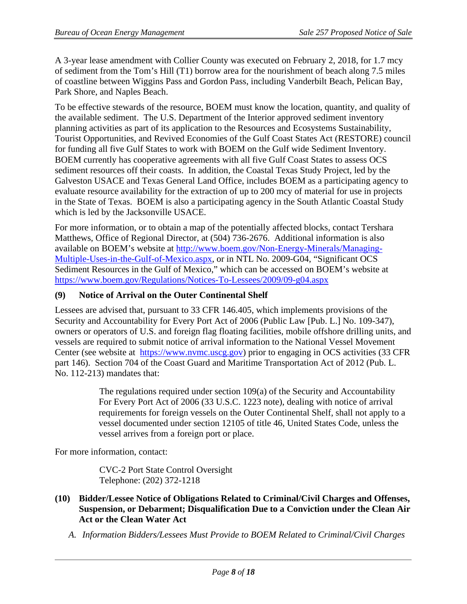A 3-year lease amendment with Collier County was executed on February 2, 2018, for 1.7 mcy of sediment from the Tom's Hill (T1) borrow area for the nourishment of beach along 7.5 miles of coastline between Wiggins Pass and Gordon Pass, including Vanderbilt Beach, Pelican Bay, Park Shore, and Naples Beach.

To be effective stewards of the resource, BOEM must know the location, quantity, and quality of the available sediment. The U.S. Department of the Interior approved sediment inventory planning activities as part of its application to the Resources and Ecosystems Sustainability, Tourist Opportunities, and Revived Economies of the Gulf Coast States Act (RESTORE) council for funding all five Gulf States to work with BOEM on the Gulf wide Sediment Inventory. BOEM currently has cooperative agreements with all five Gulf Coast States to assess OCS sediment resources off their coasts. In addition, the Coastal Texas Study Project, led by the Galveston USACE and Texas General Land Office, includes BOEM as a participating agency to evaluate resource availability for the extraction of up to 200 mcy of material for use in projects in the State of Texas. BOEM is also a participating agency in the South Atlantic Coastal Study which is led by the Jacksonville USACE.

For more information, or to obtain a map of the potentially affected blocks, contact Tershara Matthews, Office of Regional Director, at (504) 736-2676. Additional information is also available on BOEM's website at [http://www.boem.gov/Non-Energy-Minerals/Managing-](http://www.boem.gov/Non-Energy-Minerals/Managing-Multiple-Uses-in-the-Gulf-of-Mexico.aspx)[Multiple-Uses-in-the-Gulf-of-Mexico.aspx,](http://www.boem.gov/Non-Energy-Minerals/Managing-Multiple-Uses-in-the-Gulf-of-Mexico.aspx) or in NTL No. 2009-G04, "Significant OCS Sediment Resources in the Gulf of Mexico," which can be accessed on BOEM's website at <https://www.boem.gov/Regulations/Notices-To-Lessees/2009/09-g04.aspx>

#### <span id="page-7-0"></span>**(9) Notice of Arrival on the Outer Continental Shelf**

Lessees are advised that, pursuant to 33 CFR 146.405, which implements provisions of the Security and Accountability for Every Port Act of 2006 (Public Law [Pub. L.] No. 109-347), owners or operators of U.S. and foreign flag floating facilities, mobile offshore drilling units, and vessels are required to submit notice of arrival information to the National Vessel Movement Center (see website at [https://www.nvmc.uscg.gov\)](https://www.nvmc.uscg.gov/) prior to engaging in OCS activities (33 CFR part 146). Section 704 of the Coast Guard and Maritime Transportation Act of 2012 (Pub. L. No. 112-213) mandates that:

> The regulations required under section  $109(a)$  of the Security and Accountability For Every Port Act of 2006 (33 U.S.C. 1223 note), dealing with notice of arrival requirements for foreign vessels on the Outer Continental Shelf, shall not apply to a vessel documented under section 12105 of title 46, United States Code, unless the vessel arrives from a foreign port or place.

For more information, contact:

CVC-2 Port State Control Oversight Telephone: (202) 372-1218

- <span id="page-7-1"></span>**(10) Bidder/Lessee Notice of Obligations Related to Criminal/Civil Charges and Offenses, Suspension, or Debarment; Disqualification Due to a Conviction under the Clean Air Act or the Clean Water Act**
	- *A. Information Bidders/Lessees Must Provide to BOEM Related to Criminal/Civil Charges*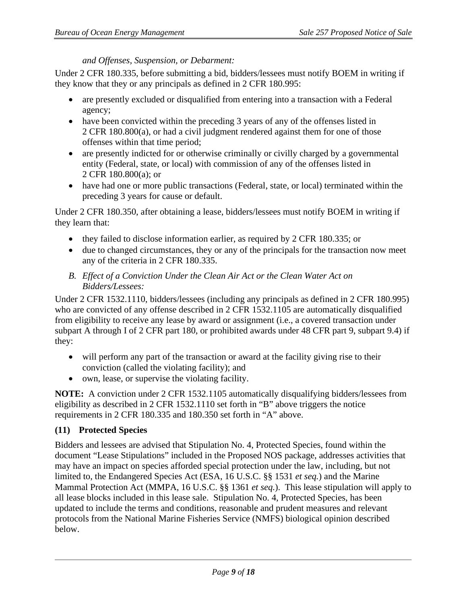#### *and Offenses, Suspension, or Debarment:*

Under 2 CFR 180.335, before submitting a bid, bidders/lessees must notify BOEM in writing if they know that they or any principals as defined in 2 CFR 180.995:

- are presently excluded or disqualified from entering into a transaction with a Federal agency;
- have been convicted within the preceding 3 years of any of the offenses listed in 2 CFR [180.800\(a\),](http://www.law.cornell.edu/cfr/text/2/180.800#a) or had a civil judgment rendered against them for one of those offenses within that time period;
- are presently indicted for or otherwise criminally or civilly charged by a governmental entity (Federal, state, or local) with commission of any of the offenses listed in 2 CFR [180.800\(a\);](http://www.law.cornell.edu/cfr/text/2/180.800#a) or
- have had one or more public transactions (Federal, state, or local) terminated within the preceding 3 years for cause or default.

Under 2 CFR 180.350, after obtaining a lease, bidders/lessees must notify BOEM in writing if they learn that:

- they failed to disclose information earlier, as required by 2 CFR 180.335; or
- due to changed circumstances, they or any of the principals for the transaction now meet any of the criteria in 2 CFR 180.335.
- *B. Effect of a Conviction Under the Clean Air Act or the Clean Water Act on Bidders/Lessees:*

Under 2 CFR 1532.1110, bidders/lessees (including any principals as defined in 2 CFR 180.995) who are convicted of any offense described in 2 CFR 1532.1105 are automatically disqualified from eligibility to receive any lease by award or assignment (i.e., a covered transaction under subpart A through I of 2 CFR part 180, or prohibited awards under 48 CFR part 9, subpart 9.4) if they:

- will perform any part of the transaction or award at the facility giving rise to their conviction (called the violating facility); and
- own, lease, or supervise the violating facility.

**NOTE:** A conviction under 2 CFR 1532.1105 automatically disqualifying bidders/lessees from eligibility as described in 2 CFR 1532.1110 set forth in "B" above triggers the notice requirements in 2 CFR 180.335 and 180.350 set forth in "A" above.

#### <span id="page-8-0"></span>**(11) Protected Species**

Bidders and lessees are advised that Stipulation No. 4, Protected Species, found within the document "Lease Stipulations" included in the Proposed NOS package, addresses activities that may have an impact on species afforded special protection under the law, including, but not limited to, the Endangered Species Act (ESA, 16 U.S.C. §§ 1531 *et seq.*) and the Marine Mammal Protection Act (MMPA, 16 U.S.C. §§ 1361 *et seq.*). This lease stipulation will apply to all lease blocks included in this lease sale. Stipulation No. 4, Protected Species, has been updated to include the terms and conditions, reasonable and prudent measures and relevant protocols from the National Marine Fisheries Service (NMFS) biological opinion described below.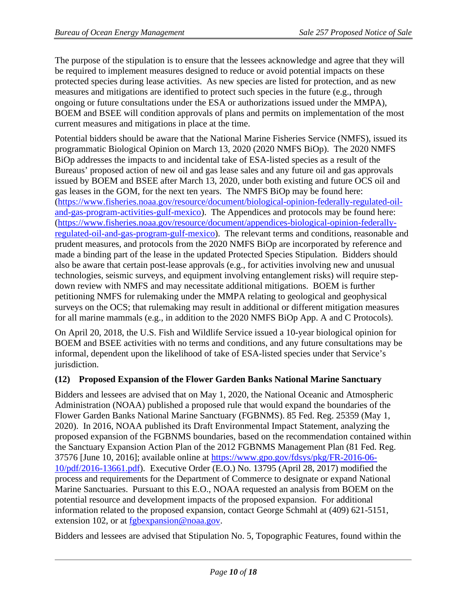The purpose of the stipulation is to ensure that the lessees acknowledge and agree that they will be required to implement measures designed to reduce or avoid potential impacts on these protected species during lease activities. As new species are listed for protection, and as new measures and mitigations are identified to protect such species in the future (e.g., through ongoing or future consultations under the ESA or authorizations issued under the MMPA), BOEM and BSEE will condition approvals of plans and permits on implementation of the most current measures and mitigations in place at the time.

Potential bidders should be aware that the National Marine Fisheries Service (NMFS), issued its programmatic Biological Opinion on March 13, 2020 (2020 NMFS BiOp). The 2020 NMFS BiOp addresses the impacts to and incidental take of ESA-listed species as a result of the Bureaus' proposed action of new oil and gas lease sales and any future oil and gas approvals issued by BOEM and BSEE after March 13, 2020, under both existing and future OCS oil and gas leases in the GOM, for the next ten years. The NMFS BiOp may be found here: [\(https://www.fisheries.noaa.gov/resource/document/biological-opinion-federally-regulated-oil](https://www.fisheries.noaa.gov/resource/document/biological-opinion-federally-regulated-oil-and-gas-program-activities-gulf-mexico)[and-gas-program-activities-gulf-mexico\)](https://www.fisheries.noaa.gov/resource/document/biological-opinion-federally-regulated-oil-and-gas-program-activities-gulf-mexico). The Appendices and protocols may be found here: [\(https://www.fisheries.noaa.gov/resource/document/appendices-biological-opinion-federally](https://www.fisheries.noaa.gov/resource/document/appendices-biological-opinion-federally-regulated-oil-and-gas-program-gulf-mexico)[regulated-oil-and-gas-program-gulf-mexico\)](https://www.fisheries.noaa.gov/resource/document/appendices-biological-opinion-federally-regulated-oil-and-gas-program-gulf-mexico). The relevant terms and conditions, reasonable and prudent measures, and protocols from the 2020 NMFS BiOp are incorporated by reference and made a binding part of the lease in the updated Protected Species Stipulation. Bidders should also be aware that certain post-lease approvals (e.g., for activities involving new and unusual technologies, seismic surveys, and equipment involving entanglement risks) will require stepdown review with NMFS and may necessitate additional mitigations. BOEM is further petitioning NMFS for rulemaking under the MMPA relating to geological and geophysical surveys on the OCS; that rulemaking may result in additional or different mitigation measures for all marine mammals (e.g., in addition to the 2020 NMFS BiOp App. A and C Protocols).

On April 20, 2018, the U.S. Fish and Wildlife Service issued a 10-year biological opinion for BOEM and BSEE activities with no terms and conditions, and any future consultations may be informal, dependent upon the likelihood of take of ESA-listed species under that Service's jurisdiction.

#### <span id="page-9-0"></span>**(12) Proposed Expansion of the Flower Garden Banks National Marine Sanctuary**

Bidders and lessees are advised that on May 1, 2020, the National Oceanic and Atmospheric Administration (NOAA) published a proposed rule that would expand the boundaries of the Flower Garden Banks National Marine Sanctuary (FGBNMS). 85 Fed. Reg. 25359 (May 1, 2020). In 2016, NOAA published its Draft Environmental Impact Statement, analyzing the proposed expansion of the FGBNMS boundaries, based on the recommendation contained within the Sanctuary Expansion Action Plan of the 2012 FGBNMS Management Plan (81 Fed. Reg. 37576 [June 10, 2016]; available online at [https://www.gpo.gov/fdsys/pkg/FR-2016-06-](https://www.gpo.gov/fdsys/pkg/FR-2016-06-10/pdf/2016-13661.pdf) [10/pdf/2016-13661.pdf\)](https://www.gpo.gov/fdsys/pkg/FR-2016-06-10/pdf/2016-13661.pdf). Executive Order (E.O.) No. 13795 (April 28, 2017) modified the process and requirements for the Department of Commerce to designate or expand National Marine Sanctuaries. Pursuant to this E.O., NOAA requested an analysis from BOEM on the potential resource and development impacts of the proposed expansion. For additional information related to the proposed expansion, contact George Schmahl at (409) 621-5151, extension 102, or at fgbexpansion@noaa.gov.

Bidders and lessees are advised that Stipulation No. 5, Topographic Features, found within the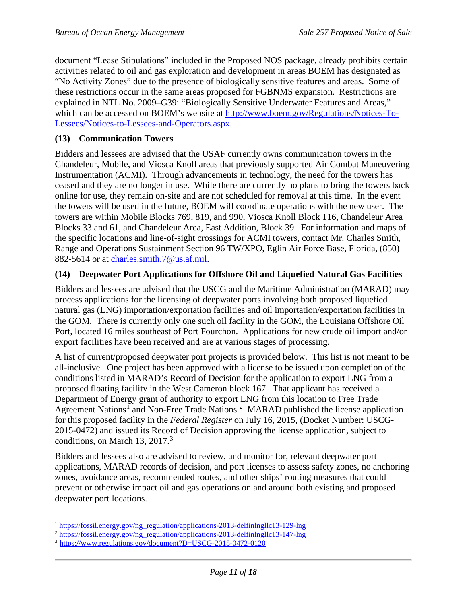document "Lease Stipulations" included in the Proposed NOS package, already prohibits certain activities related to oil and gas exploration and development in areas BOEM has designated as "No Activity Zones" due to the presence of biologically sensitive features and areas. Some of these restrictions occur in the same areas proposed for FGBNMS expansion. Restrictions are explained in NTL No. 2009–G39: "Biologically Sensitive Underwater Features and Areas," which can be accessed on BOEM's website at [http://www.boem.gov/Regulations/Notices-To-](http://www.boem.gov/Regulations/Notices-To-Lessees/Notices-to-Lessees-and-Operators.aspx)[Lessees/Notices-to-Lessees-and-Operators.aspx.](http://www.boem.gov/Regulations/Notices-To-Lessees/Notices-to-Lessees-and-Operators.aspx)

### <span id="page-10-0"></span>**(13) Communication Towers**

Bidders and lessees are advised that the USAF currently owns communication towers in the Chandeleur, Mobile, and Viosca Knoll areas that previously supported Air Combat Maneuvering Instrumentation (ACMI). Through advancements in technology, the need for the towers has ceased and they are no longer in use. While there are currently no plans to bring the towers back online for use, they remain on-site and are not scheduled for removal at this time. In the event the towers will be used in the future, BOEM will coordinate operations with the new user. The towers are within Mobile Blocks 769, 819, and 990, Viosca Knoll Block 116, Chandeleur Area Blocks 33 and 61, and Chandeleur Area, East Addition, Block 39. For information and maps of the specific locations and line-of-sight crossings for ACMI towers, contact Mr. Charles Smith, Range and Operations Sustainment Section 96 TW/XPO, Eglin Air Force Base, Florida, (850) 882-5614 or at [charles.smith.7@us.af.mil.](mailto:charles.smith.7@us.af.mil)

#### <span id="page-10-1"></span>**(14) Deepwater Port Applications for Offshore Oil and Liquefied Natural Gas Facilities**

Bidders and lessees are advised that the USCG and the Maritime Administration (MARAD) may process applications for the licensing of deepwater ports involving both proposed liquefied natural gas (LNG) importation/exportation facilities and oil importation/exportation facilities in the GOM. There is currently only one such oil facility in the GOM, the Louisiana Offshore Oil Port, located 16 miles southeast of Port Fourchon. Applications for new crude oil import and/or export facilities have been received and are at various stages of processing.

A list of current/proposed deepwater port projects is provided below. This list is not meant to be all-inclusive. One project has been approved with a license to be issued upon completion of the conditions listed in MARAD's Record of Decision for the application to export LNG from a proposed floating facility in the West Cameron block 167. That applicant has received a Department of Energy grant of authority to export LNG from this location to Free Trade Agreement Nations<sup>[1](#page-10-2)</sup> and Non-Free Trade Nations.<sup>[2](#page-10-3)</sup> MARAD published the license application for this proposed facility in the *Federal Register* on July 16, 2015, (Docket Number: USCG-2015-0472) and issued its Record of Decision approving the license application, subject to conditions, on March 1[3](#page-10-4), 2017.<sup>3</sup>

Bidders and lessees also are advised to review, and monitor for, relevant deepwater port applications, MARAD records of decision, and port licenses to assess safety zones, no anchoring zones, avoidance areas, recommended routes, and other ships' routing measures that could prevent or otherwise impact oil and gas operations on and around both existing and proposed deepwater port locations.

<span id="page-10-2"></span><sup>&</sup>lt;sup>1</sup> [https://fossil.energy.gov/ng\\_regulation/applications-2013-delfinlngllc13-129-lng](https://fossil.energy.gov/ng_regulation/applications-2013-delfinlngllc13-129-lng)

<span id="page-10-3"></span><sup>&</sup>lt;sup>2</sup> [https://fossil.energy.gov/ng\\_regulation/applications-2013-delfinlngllc13-147-lng](https://fossil.energy.gov/ng_regulation/applications-2013-delfinlngllc13-147-lng)

<span id="page-10-4"></span><sup>3</sup> <https://www.regulations.gov/document?D=USCG-2015-0472-0120>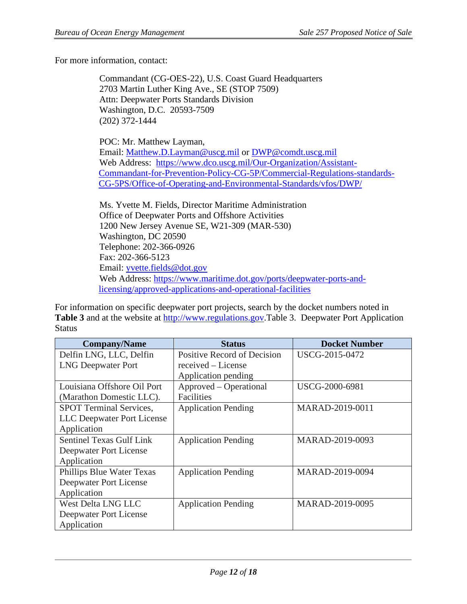For more information, contact:

Commandant (CG-OES-22), U.S. Coast Guard Headquarters 2703 Martin Luther King Ave., SE (STOP 7509) Attn: Deepwater Ports Standards Division Washington, D.C. 20593-7509 (202) 372-1444

POC: Mr. Matthew Layman, Email: Matthew.D.Layman@uscg.mil or DWP@comdt.uscg.mil Web Address: [https://www.dco.uscg.mil/Our-Organization/Assistant-](https://www.dco.uscg.mil/Our-Organization/Assistant-Commandant-for-Prevention-Policy-CG-5P/Commercial-Regulations-standards-CG-5PS/Office-of-Operating-and-Environmental-Standards/vfos/DWP/)[Commandant-for-Prevention-Policy-CG-5P/Commercial-Regulations-standards-](https://www.dco.uscg.mil/Our-Organization/Assistant-Commandant-for-Prevention-Policy-CG-5P/Commercial-Regulations-standards-CG-5PS/Office-of-Operating-and-Environmental-Standards/vfos/DWP/)[CG-5PS/Office-of-Operating-and-Environmental-Standards/vfos/DWP/](https://www.dco.uscg.mil/Our-Organization/Assistant-Commandant-for-Prevention-Policy-CG-5P/Commercial-Regulations-standards-CG-5PS/Office-of-Operating-and-Environmental-Standards/vfos/DWP/)

Ms. Yvette M. Fields, Director Maritime Administration Office of Deepwater Ports and Offshore Activities 1200 New Jersey Avenue SE, W21-309 (MAR-530) Washington, DC 20590 Telephone: 202-366-0926 Fax: 202-366-5123 Email: [yvette.fields@dot.gov](mailto:yvette.fields@dot.gov) Web Address: [https://www.maritime.dot.gov/ports/deepwater-ports-and](https://www.maritime.dot.gov/ports/deepwater-ports-and-licensing/approved-applications-and-operational-facilities)[licensing/approved-applications-and-operational-facilities](https://www.maritime.dot.gov/ports/deepwater-ports-and-licensing/approved-applications-and-operational-facilities)

For information on specific deepwater port projects, search by the docket numbers noted in **Table 3** and at the website at [http://www.regulations.gov.](http://www.regulations.gov/)Table 3. Deepwater Port Application **Status** 

| <b>Company/Name</b>             | <b>Status</b>               | <b>Docket Number</b> |
|---------------------------------|-----------------------------|----------------------|
| Delfin LNG, LLC, Delfin         | Positive Record of Decision | USCG-2015-0472       |
| <b>LNG Deepwater Port</b>       | received – License          |                      |
|                                 | Application pending         |                      |
| Louisiana Offshore Oil Port     | Approved – Operational      | USCG-2000-6981       |
| (Marathon Domestic LLC).        | Facilities                  |                      |
| <b>SPOT Terminal Services,</b>  | <b>Application Pending</b>  | MARAD-2019-0011      |
| LLC Deepwater Port License      |                             |                      |
| Application                     |                             |                      |
| <b>Sentinel Texas Gulf Link</b> | <b>Application Pending</b>  | MARAD-2019-0093      |
| Deepwater Port License          |                             |                      |
| Application                     |                             |                      |
| Phillips Blue Water Texas       | <b>Application Pending</b>  | MARAD-2019-0094      |
| Deepwater Port License          |                             |                      |
| Application                     |                             |                      |
| West Delta LNG LLC              | <b>Application Pending</b>  | MARAD-2019-0095      |
| Deepwater Port License          |                             |                      |
| Application                     |                             |                      |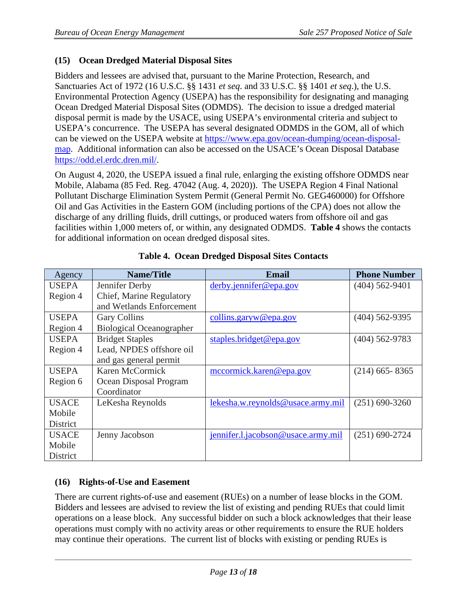# <span id="page-12-0"></span>**(15) Ocean Dredged Material Disposal Sites**

Bidders and lessees are advised that, pursuant to the Marine Protection, Research, and Sanctuaries Act of 1972 (16 U.S.C. §§ 1431 *et seq*. and 33 U.S.C. §§ 1401 *et seq*.), the U.S. Environmental Protection Agency (USEPA) has the responsibility for designating and managing Ocean Dredged Material Disposal Sites (ODMDS). The decision to issue a dredged material disposal permit is made by the USACE, using USEPA's environmental criteria and subject to USEPA's concurrence. The USEPA has several designated ODMDS in the GOM, all of which can be viewed on the USEPA website a[t](https://www.epa.gov/ocean-dumping/ocean-disposal-map) [https://www.epa.gov/ocean-dumping/ocean-disposal](https://www.epa.gov/ocean-dumping/ocean-disposal-map)[map.](https://www.epa.gov/ocean-dumping/ocean-disposal-map) Additional information can also be accessed on the USACE's Ocean Disposal Database [https://odd.el.erdc.dren.mil/.](https://odd.el.erdc.dren.mil/)

On August 4, 2020, the USEPA issued a final rule, enlarging the existing offshore ODMDS near Mobile, Alabama (85 Fed. Reg. 47042 (Aug. 4, 2020)). The USEPA Region 4 Final National Pollutant Discharge Elimination System Permit (General Permit No. GEG460000) for Offshore Oil and Gas Activities in the Eastern GOM (including portions of the CPA) does not allow the discharge of any drilling fluids, drill cuttings, or produced waters from offshore oil and gas facilities within 1,000 meters of, or within, any designated ODMDS. **Table 4** shows the contacts for additional information on ocean dredged disposal sites.

| Agency       | <b>Name/Title</b>               | <b>Email</b>                       | <b>Phone Number</b> |
|--------------|---------------------------------|------------------------------------|---------------------|
| <b>USEPA</b> | Jennifer Derby                  | derby.jennifer@epa.gov             | $(404)$ 562-9401    |
| Region 4     | Chief, Marine Regulatory        |                                    |                     |
|              | and Wetlands Enforcement        |                                    |                     |
| <b>USEPA</b> | <b>Gary Collins</b>             | collins.garyw@epa.gov              | $(404)$ 562-9395    |
| Region 4     | <b>Biological Oceanographer</b> |                                    |                     |
| <b>USEPA</b> | <b>Bridget Staples</b>          | staples.bridget@epa.gov            | $(404)$ 562-9783    |
| Region 4     | Lead, NPDES offshore oil        |                                    |                     |
|              | and gas general permit          |                                    |                     |
| <b>USEPA</b> | Karen McCormick                 | mccormick.karen@epa.gov            | $(214)$ 665-8365    |
| Region 6     | Ocean Disposal Program          |                                    |                     |
|              | Coordinator                     |                                    |                     |
| <b>USACE</b> | LeKesha Reynolds                | lekesha.w.reynolds@usace.army.mil  | $(251)$ 690-3260    |
| Mobile       |                                 |                                    |                     |
| District     |                                 |                                    |                     |
| <b>USACE</b> | Jenny Jacobson                  | jennifer.l.jacobson@usace.army.mil | $(251)$ 690-2724    |
| Mobile       |                                 |                                    |                     |
| District     |                                 |                                    |                     |

#### **Table 4. Ocean Dredged Disposal Sites Contacts**

# <span id="page-12-1"></span>**(16) Rights-of-Use and Easement**

There are current rights-of-use and easement (RUEs) on a number of lease blocks in the GOM. Bidders and lessees are advised to review the list of existing and pending RUEs that could limit operations on a lease block. Any successful bidder on such a block acknowledges that their lease operations must comply with no activity areas or other requirements to ensure the RUE holders may continue their operations. The current list of blocks with existing or pending RUEs is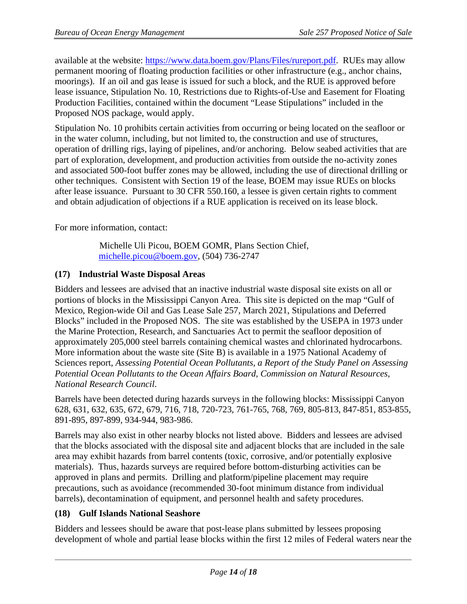available at the website: [https://www.data.boem.gov/Plans/Files/rureport.pdf.](https://www.data.boem.gov/Plans/Files/rureport.pdf) RUEs may allow permanent mooring of floating production facilities or other infrastructure (e.g., anchor chains, moorings). If an oil and gas lease is issued for such a block, and the RUE is approved before lease issuance, Stipulation No. 10, Restrictions due to Rights-of-Use and Easement for Floating Production Facilities, contained within the document "Lease Stipulations" included in the Proposed NOS package, would apply.

Stipulation No. 10 prohibits certain activities from occurring or being located on the seafloor or in the water column, including, but not limited to, the construction and use of structures, operation of drilling rigs, laying of pipelines, and/or anchoring. Below seabed activities that are part of exploration, development, and production activities from outside the no-activity zones and associated 500-foot buffer zones may be allowed, including the use of directional drilling or other techniques. Consistent with Section 19 of the lease, BOEM may issue RUEs on blocks after lease issuance. Pursuant to 30 CFR 550.160, a lessee is given certain rights to comment and obtain adjudication of objections if a RUE application is received on its lease block.

For more information, contact:

Michelle Uli Picou, BOEM GOMR, Plans Section Chief, [michelle.picou@boem.gov,](mailto:michelle.picou@boem.gov) (504) 736-2747

#### <span id="page-13-0"></span>**(17) Industrial Waste Disposal Areas**

Bidders and lessees are advised that an inactive industrial waste disposal site exists on all or portions of blocks in the Mississippi Canyon Area. This site is depicted on the map "Gulf of Mexico, Region-wide Oil and Gas Lease Sale 257, March 2021, Stipulations and Deferred Blocks" included in the Proposed NOS. The site was established by the USEPA in 1973 under the Marine Protection, Research, and Sanctuaries Act to permit the seafloor deposition of approximately 205,000 steel barrels containing chemical wastes and chlorinated hydrocarbons. More information about the waste site (Site B) is available in a 1975 National Academy of Sciences report, *Assessing Potential Ocean Pollutants, a Report of the Study Panel on Assessing Potential Ocean Pollutants to the Ocean Affairs Board, Commission on Natural Resources, National Research Council*.

Barrels have been detected during hazards surveys in the following blocks: Mississippi Canyon 628, 631, 632, 635, 672, 679, 716, 718, 720-723, 761-765, 768, 769, 805-813, 847-851, 853-855, 891-895, 897-899, 934-944, 983-986.

Barrels may also exist in other nearby blocks not listed above. Bidders and lessees are advised that the blocks associated with the disposal site and adjacent blocks that are included in the sale area may exhibit hazards from barrel contents (toxic, corrosive, and/or potentially explosive materials). Thus, hazards surveys are required before bottom-disturbing activities can be approved in plans and permits. Drilling and platform/pipeline placement may require precautions, such as avoidance (recommended 30-foot minimum distance from individual barrels), decontamination of equipment, and personnel health and safety procedures.

#### <span id="page-13-1"></span>**(18) Gulf Islands National Seashore**

Bidders and lessees should be aware that post-lease plans submitted by lessees proposing development of whole and partial lease blocks within the first 12 miles of Federal waters near the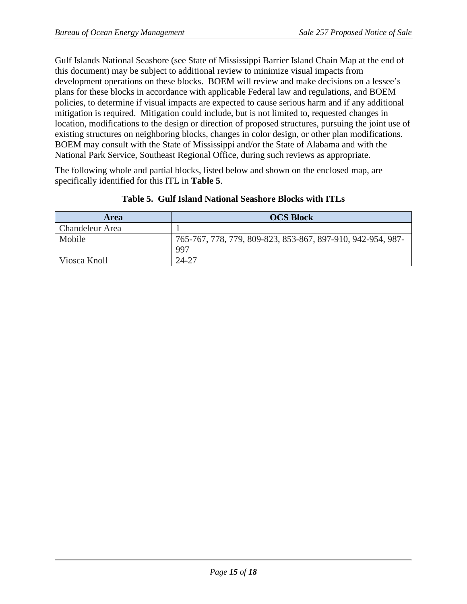Gulf Islands National Seashore (see State of Mississippi Barrier Island Chain Map at the end of this document) may be subject to additional review to minimize visual impacts from development operations on these blocks. BOEM will review and make decisions on a lessee's plans for these blocks in accordance with applicable Federal law and regulations, and BOEM policies, to determine if visual impacts are expected to cause serious harm and if any additional mitigation is required. Mitigation could include, but is not limited to, requested changes in location, modifications to the design or direction of proposed structures, pursuing the joint use of existing structures on neighboring blocks, changes in color design, or other plan modifications. BOEM may consult with the State of Mississippi and/or the State of Alabama and with the National Park Service, Southeast Regional Office, during such reviews as appropriate.

The following whole and partial blocks, listed below and shown on the enclosed map, are specifically identified for this ITL in **Table 5**.

| <b>Area</b>            | <b>OCS Block</b>                                            |
|------------------------|-------------------------------------------------------------|
| <b>Chandeleur Area</b> |                                                             |
| Mobile                 | 765-767, 778, 779, 809-823, 853-867, 897-910, 942-954, 987- |
|                        | 997                                                         |
| Viosca Knoll           | 24-27                                                       |

#### **Table 5. Gulf Island National Seashore Blocks with ITLs**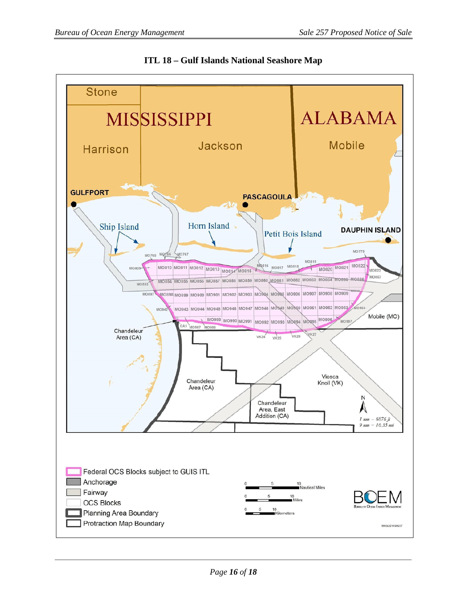

**ITL 18 – Gulf Islands National Seashore Map**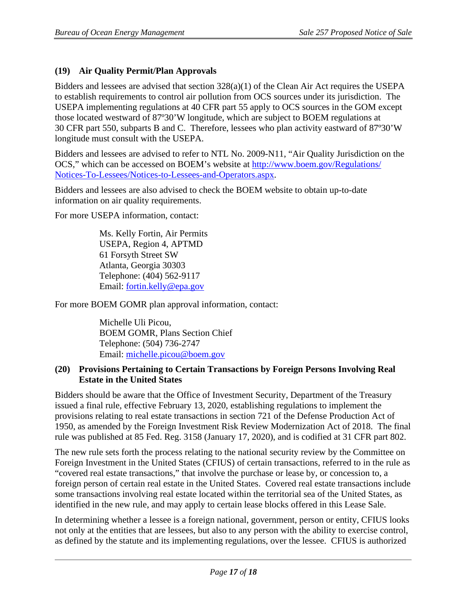#### <span id="page-16-0"></span>**(19) Air Quality Permit/Plan Approvals**

Bidders and lessees are advised that section  $328(a)(1)$  of the Clean Air Act requires the USEPA to establish requirements to control air pollution from OCS sources under its jurisdiction. The USEPA implementing regulations at 40 CFR part 55 apply to OCS sources in the GOM except those located westward of 87º30'W longitude, which are subject to BOEM regulations at 30 CFR part 550, subparts B and C. Therefore, lessees who plan activity eastward of 87º30'W longitude must consult with the USEPA.

Bidders and lessees are advised to refer to NTL No. 2009-N11, "Air Quality Jurisdiction on the OCS," which can be accessed on BOEM's website at [http://www.boem.gov/Regulations/](http://www.boem.gov/Regulations/Notices-To-Lessees/Notices-to-Lessees-and-Operators.aspx) [Notices-To-Lessees/Notices-to-Lessees-and-Operators.aspx.](http://www.boem.gov/Regulations/Notices-To-Lessees/Notices-to-Lessees-and-Operators.aspx)

Bidders and lessees are also advised to check the BOEM website to obtain up-to-date information on air quality requirements.

For more USEPA information, contact:

Ms. Kelly Fortin, Air Permits USEPA, Region 4, APTMD 61 Forsyth Street SW Atlanta, Georgia 30303 Telephone: (404) 562-9117 Email: [fortin.kelly@epa.gov](mailto:fortin.kelly@epa.gov)

For more BOEM GOMR plan approval information, contact:

Michelle Uli Picou, BOEM GOMR, Plans Section Chief Telephone: (504) 736-2747 Email: [michelle.picou@boem.gov](mailto:michelle.picou@boem.gov)

#### <span id="page-16-1"></span>**(20) Provisions Pertaining to Certain Transactions by Foreign Persons Involving Real Estate in the United States**

Bidders should be aware that the Office of Investment Security, Department of the Treasury issued a final rule, effective February 13, 2020, establishing regulations to implement the provisions relating to real estate transactions in section 721 of the Defense Production Act of 1950, as amended by the Foreign Investment Risk Review Modernization Act of 2018. The final rule was published at 85 Fed. Reg. 3158 (January 17, 2020), and is codified at 31 CFR part 802.

The new rule sets forth the process relating to the national security review by the Committee on Foreign Investment in the United States (CFIUS) of certain transactions, referred to in the rule as "covered real estate transactions," that involve the purchase or lease by, or concession to, a foreign person of certain real estate in the United States. Covered real estate transactions include some transactions involving real estate located within the territorial sea of the United States, as identified in the new rule, and may apply to certain lease blocks offered in this Lease Sale.

In determining whether a lessee is a foreign national, government, person or entity, CFIUS looks not only at the entities that are lessees, but also to any person with the ability to exercise control, as defined by the statute and its implementing regulations, over the lessee. CFIUS is authorized